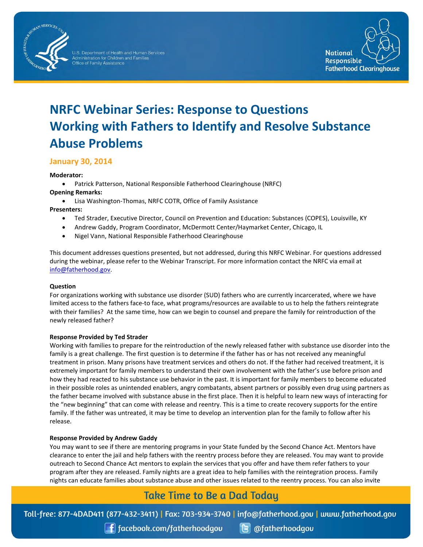

.S. Department of Health and Human Services Iministration for Children and Familie Office of Family Assistance



# **NRFC Webinar Series: Response to Questions Working with Fathers to Identify and Resolve Substance Abuse Problems**

# **January 30, 2014**

# **Moderator:**

• Patrick Patterson, National Responsible Fatherhood Clearinghouse (NRFC)

**Opening Remarks:**

• Lisa Washington-Thomas, NRFC COTR, Office of Family Assistance

# **Presenters:**

- Ted Strader, Executive Director, Council on Prevention and Education: Substances (COPES), Louisville, KY
- Andrew Gaddy, Program Coordinator, McDermott Center/Haymarket Center, Chicago, IL
- Nigel Vann, National Responsible Fatherhood Clearinghouse

This document addresses questions presented, but not addressed, during this NRFC Webinar. For questions addressed during the webinar, please refer to the Webinar Transcript. For more information contact the NRFC via email at [info@fatherhood.gov.](mailto:info@fatherhood.gov)

# **Question**

For organizations working with substance use disorder (SUD) fathers who are currently incarcerated, where we have limited access to the fathers face-to face, what programs/resources are available to us to help the fathers reintegrate with their families? At the same time, how can we begin to counsel and prepare the family for reintroduction of the newly released father?

# **Response Provided by Ted Strader**

Working with families to prepare for the reintroduction of the newly released father with substance use disorder into the family is a great challenge. The first question is to determine if the father has or has not received any meaningful treatment in prison. Many prisons have treatment services and others do not. If the father had received treatment, it is extremely important for family members to understand their own involvement with the father's use before prison and how they had reacted to his substance use behavior in the past. It is important for family members to become educated in their possible roles as unintended enablers, angry combatants, absent partners or possibly even drug using partners as the father became involved with substance abuse in the first place. Then it is helpful to learn new ways of interacting for the "new beginning" that can come with release and reentry. This is a time to create recovery supports for the entire family. If the father was untreated, it may be time to develop an intervention plan for the family to follow after his release.

# **Response Provided by Andrew Gaddy**

You may want to see if there are mentoring programs in your State funded by the Second Chance Act. Mentors have clearance to enter the jail and help fathers with the reentry process before they are released. You may want to provide outreach to Second Chance Act mentors to explain the services that you offer and have them refer fathers to your program after they are released. Family nights are a great idea to help families with the reintegration process. Family nights can educate families about substance abuse and other issues related to the reentry process. You can also invite

# **Take Time to Be a Dad Today**

Toll-free: 877-4DAD411 (877-432-3411) | Fax: 703-934-3740 | info@fatherhood.gov | www.fatherhood.gov

**f** facebook.com/fatherhoodgou

**B** @fatherhoodgou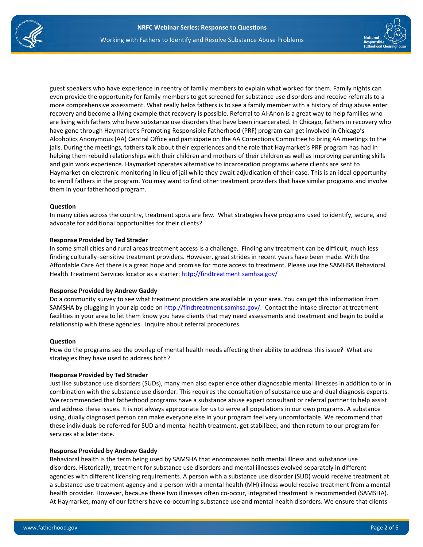



Haymarket on electronic monitoring in lieu of jail while they await adjudication of their case. This is an ideal opportunity to enroll fathers in the program. You may want to find other treatment providers that have similar programs and involve them in your fatherhood program.

#### **Question**

In many cities across the country, treatment spots are few. What strategies have programs used to identify, secure, and advocate for additional opportunities for their clients?

# **Response Provided by Ted Strader**

In some small cities and rural areas treatment access is a challenge. Finding any treatment can be difficult, much less finding culturally–sensitive treatment providers. However, great strides in recent years have been made. With the Affordable Care Act there is a great hope and promise for more access to treatment. Please use the SAMHSA Behavioral Health Treatment Services locator as a starter:<http://findtreatment.samhsa.gov/>

# **Response Provided by Andrew Gaddy**

Do a community survey to see what treatment providers are available in your area. You can get this information from SAMSHA by plugging in your zip code on [http://findtreatment.samhsa.gov/.](http://findtreatment.samhsa.gov/) Contact the intake director at treatment facilities in your area to let them know you have clients that may need assessments and treatment and begin to build a relationship with these agencies. Inquire about referral procedures.

# **Question**

How do the programs see the overlap of mental health needs affecting their ability to address this issue? What are strategies they have used to address both?

# **Response Provided by Ted Strader**

Just like substance use disorders (SUDs), many men also experience other diagnosable mental illnesses in addition to or in combination with the substance use disorder. This requires the consultation of substance use and dual diagnosis experts. We recommended that fatherhood programs have a substance abuse expert consultant or referral partner to help assist and address these issues. It is not always appropriate for us to serve all populations in our own programs. A substance using, dually diagnosed person can make everyone else in your program feel very uncomfortable. We recommend that these individuals be referred for SUD and mental health treatment, get stabilized, and then return to our program for services at a later date.

#### **Response Provided by Andrew Gaddy**

Behavioral health is the term being used by SAMSHA that encompasses both mental illness and substance use disorders. Historically, treatment for substance use disorders and mental illnesses evolved separately in different agencies with different licensing requirements. A person with a substance use disorder (SUD) would receive treatment at a substance use treatment agency and a person with a mental health (MH) illness would receive treatment from a mental health provider. However, because these two illnesses often co-occur, integrated treatment is recommended (SAMSHA). At Haymarket, many of our fathers have co-occurring substance use and mental health disorders. We ensure that clients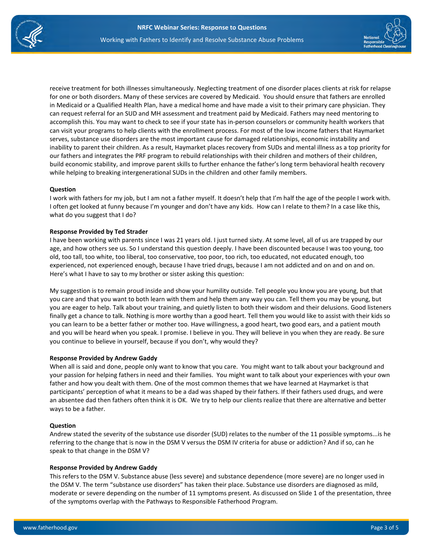

receive treatment for both illnesses simultaneously. Neglecting treatment of one disorder places clients at risk for relapse for one or both disorders. Many of these services are covered by Medicaid. You should ensure that fathers are enrolled in Medicaid or a Qualified Health Plan, have a medical home and have made a visit to their primary care physician. They can request referral for an SUD and MH assessment and treatment paid by Medicaid. Fathers may need mentoring to accomplish this. You may want to check to see if your state has in-person counselors or community health workers that can visit your programs to help clients with the enrollment process. For most of the low income fathers that Haymarket serves, substance use disorders are the most important cause for damaged relationships, economic instability and inability to parent their children. As a result, Haymarket places recovery from SUDs and mental illness as a top priority for our fathers and integrates the PRF program to rebuild relationships with their children and mothers of their children, build economic stability, and improve parent skills to further enhance the father's long term behavioral health recovery while helping to breaking intergenerational SUDs in the children and other family members.

# **Question**

I work with fathers for my job, but I am not a father myself. It doesn't help that I'm half the age of the people I work with. I often get looked at funny because I'm younger and don't have any kids. How can I relate to them? In a case like this, what do you suggest that I do?

# **Response Provided by Ted Strader**

I have been working with parents since I was 21 years old. I just turned sixty. At some level, all of us are trapped by our age, and how others see us. So I understand this question deeply. I have been discounted because I was too young, too old, too tall, too white, too liberal, too conservative, too poor, too rich, too educated, not educated enough, too experienced, not experienced enough, because I have tried drugs, because I am not addicted and on and on and on. Here's what I have to say to my brother or sister asking this question:

My suggestion is to remain proud inside and show your humility outside. Tell people you know you are young, but that you care and that you want to both learn with them and help them any way you can. Tell them you may be young, but you are eager to help. Talk about your training, and quietly listen to both their wisdom and their delusions. Good listeners finally get a chance to talk. Nothing is more worthy than a good heart. Tell them you would like to assist with their kids so you can learn to be a better father or mother too. Have willingness, a good heart, two good ears, and a patient mouth and you will be heard when you speak. I promise. I believe in you. They will believe in you when they are ready. Be sure you continue to believe in yourself, because if you don't, why would they?

#### **Response Provided by Andrew Gaddy**

When all is said and done, people only want to know that you care. You might want to talk about your background and your passion for helping fathers in need and their families. You might want to talk about your experiences with your own father and how you dealt with them. One of the most common themes that we have learned at Haymarket is that participants' perception of what it means to be a dad was shaped by their fathers. If their fathers used drugs, and were an absentee dad then fathers often think it is OK. We try to help our clients realize that there are alternative and better ways to be a father.

#### **Question**

Andrew stated the severity of the substance use disorder (SUD) relates to the number of the 11 possible symptoms...is he referring to the change that is now in the DSM V versus the DSM IV criteria for abuse or addiction? And if so, can he speak to that change in the DSM V?

#### **Response Provided by Andrew Gaddy**

This refers to the DSM V. Substance abuse (less severe) and substance dependence (more severe) are no longer used in the DSM V. The term "substance use disorders" has taken their place. Substance use disorders are diagnosed as mild, moderate or severe depending on the number of 11 symptoms present. As discussed on Slide 1 of the presentation, three of the symptoms overlap with the Pathways to Responsible Fatherhood Program.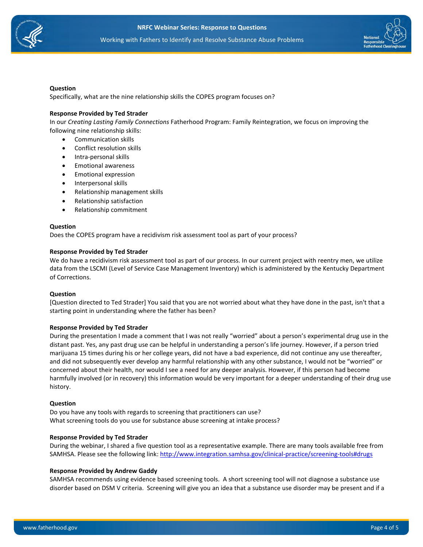



#### **Question**

Specifically, what are the nine relationship skills the COPES program focuses on?

#### **Response Provided by Ted Strader**

In our *Creating Lasting Family Connections* Fatherhood Program: Family Reintegration, we focus on improving the following nine relationship skills:

- Communication skills
- Conflict resolution skills
- Intra-personal skills
- Emotional awareness
- Emotional expression
- Interpersonal skills
- Relationship management skills
- Relationship satisfaction
- Relationship commitment

#### **Question**

Does the COPES program have a recidivism risk assessment tool as part of your process?

#### **Response Provided by Ted Strader**

We do have a recidivism risk assessment tool as part of our process. In our current project with reentry men, we utilize data from the LSCMI (Level of Service Case Management Inventory) which is administered by the Kentucky Department of Corrections.

#### **Question**

[Question directed to Ted Strader] You said that you are not worried about what they have done in the past, isn't that a starting point in understanding where the father has been?

#### **Response Provided by Ted Strader**

During the presentation I made a comment that I was not really "worried" about a person's experimental drug use in the distant past. Yes, any past drug use can be helpful in understanding a person's life journey. However, if a person tried marijuana 15 times during his or her college years, did not have a bad experience, did not continue any use thereafter, and did not subsequently ever develop any harmful relationship with any other substance, I would not be "worried" or concerned about their health, nor would I see a need for any deeper analysis. However, if this person had become harmfully involved (or in recovery) this information would be very important for a deeper understanding of their drug use history.

#### **Question**

Do you have any tools with regards to screening that practitioners can use? What screening tools do you use for substance abuse screening at intake process?

#### **Response Provided by Ted Strader**

During the webinar, I shared a five question tool as a representative example. There are many tools available free from SAMHSA. Please see the following link:<http://www.integration.samhsa.gov/clinical-practice/screening-tools#drugs>

#### **Response Provided by Andrew Gaddy**

SAMHSA recommends using evidence based screening tools. A short screening tool will not diagnose a substance use disorder based on DSM V criteria. Screening will give you an idea that a substance use disorder may be present and if a